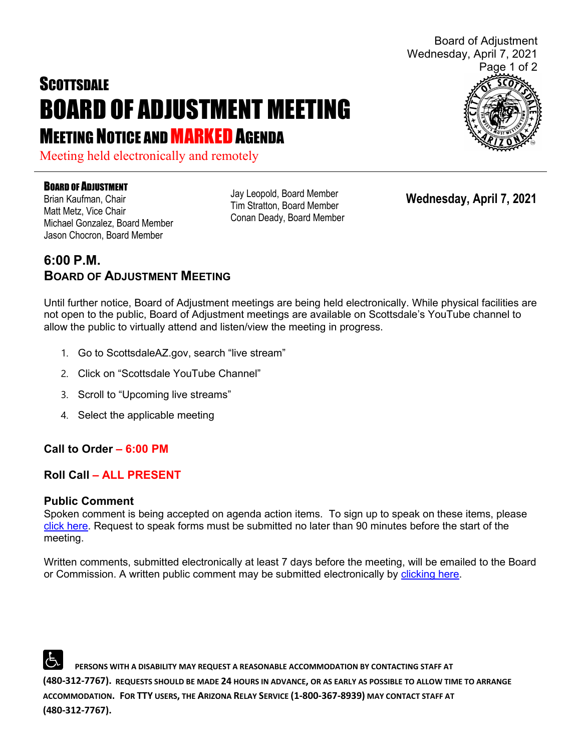# **SCOTTSDALE** BOARD OF ADJUSTMENT MEETING **MEETING NOTICE AND MARKED AGENDA**

Meeting held electronically and remotely

#### BOARD OF ADJUSTMENT

Brian Kaufman, Chair Matt Metz, Vice Chair Michael Gonzalez, Board Member Jason Chocron, Board Member

Jay Leopold, Board Member Tim Stratton, Board Member Conan Deady, Board Member

**Wednesday, April 7, 2021**

## **6:00 P.M. BOARD OF ADJUSTMENT MEETING**

Until further notice, Board of Adjustment meetings are being held electronically. While physical facilities are not open to the public, Board of Adjustment meetings are available on Scottsdale's YouTube channel to allow the public to virtually attend and listen/view the meeting in progress.

- 1. Go to ScottsdaleAZ.gov, search "live stream"
- 2. Click on "Scottsdale YouTube Channel"
- 3. Scroll to "Upcoming live streams"
- 4. Select the applicable meeting

## **Call to Order – 6:00 PM**

## **Roll Call – ALL PRESENT**

#### **Public Comment**

Spoken comment is being accepted on agenda action items. To sign up to speak on these items, please [click here.](https://www.scottsdaleaz.gov/boards/board-of-adjustment/spoken-comment) Request to speak forms must be submitted no later than 90 minutes before the start of the meeting.

Written comments, submitted electronically at least 7 days before the meeting, will be emailed to the Board or Commission. A written public comment may be submitted electronically by [clicking here.](https://www.scottsdaleaz.gov/boards/board-of-adjustment/public-comment)

 **PERSONS WITH A DISABILITY MAY REQUEST A REASONABLE ACCOMMODATION BY CONTACTING STAFF AT (480-312-7767). REQUESTS SHOULD BE MADE 24 HOURS IN ADVANCE, OR AS EARLY AS POSSIBLE TO ALLOW TIME TO ARRANGE ACCOMMODATION. FOR TTY USERS, THE ARIZONA RELAY SERVICE (1-800-367-8939) MAY CONTACT STAFF AT (480-312-7767).** 



Board of Adjustment